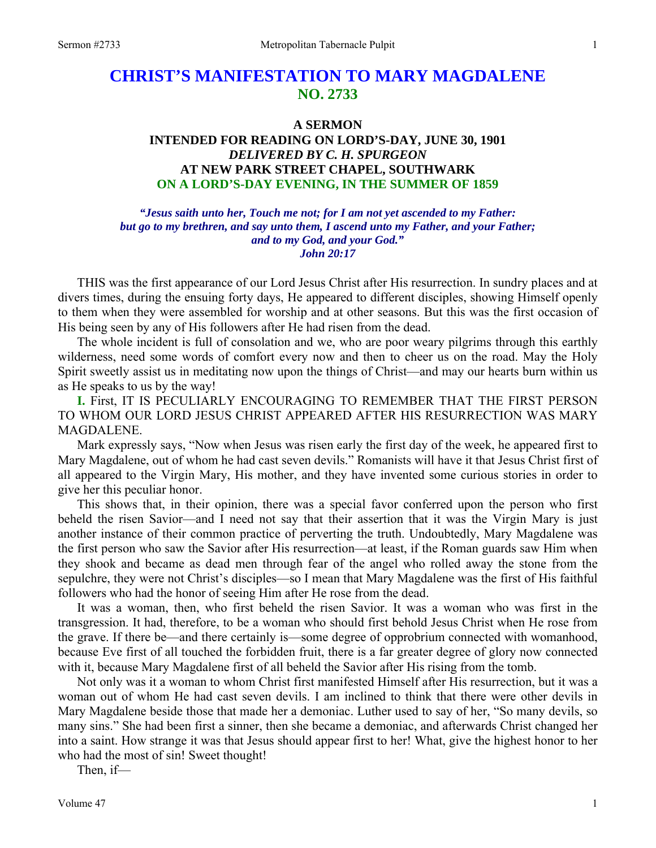# **CHRIST'S MANIFESTATION TO MARY MAGDALENE NO. 2733**

### **A SERMON**

# **INTENDED FOR READING ON LORD'S-DAY, JUNE 30, 1901**  *DELIVERED BY C. H. SPURGEON*  **AT NEW PARK STREET CHAPEL, SOUTHWARK ON A LORD'S-DAY EVENING, IN THE SUMMER OF 1859**

*"Jesus saith unto her, Touch me not; for I am not yet ascended to my Father: but go to my brethren, and say unto them, I ascend unto my Father, and your Father; and to my God, and your God." John 20:17* 

THIS was the first appearance of our Lord Jesus Christ after His resurrection. In sundry places and at divers times, during the ensuing forty days, He appeared to different disciples, showing Himself openly to them when they were assembled for worship and at other seasons. But this was the first occasion of His being seen by any of His followers after He had risen from the dead.

 The whole incident is full of consolation and we, who are poor weary pilgrims through this earthly wilderness, need some words of comfort every now and then to cheer us on the road. May the Holy Spirit sweetly assist us in meditating now upon the things of Christ—and may our hearts burn within us as He speaks to us by the way!

**I.** First, IT IS PECULIARLY ENCOURAGING TO REMEMBER THAT THE FIRST PERSON TO WHOM OUR LORD JESUS CHRIST APPEARED AFTER HIS RESURRECTION WAS MARY MAGDALENE.

 Mark expressly says, "Now when Jesus was risen early the first day of the week, he appeared first to Mary Magdalene, out of whom he had cast seven devils." Romanists will have it that Jesus Christ first of all appeared to the Virgin Mary, His mother, and they have invented some curious stories in order to give her this peculiar honor.

 This shows that, in their opinion, there was a special favor conferred upon the person who first beheld the risen Savior—and I need not say that their assertion that it was the Virgin Mary is just another instance of their common practice of perverting the truth. Undoubtedly, Mary Magdalene was the first person who saw the Savior after His resurrection—at least, if the Roman guards saw Him when they shook and became as dead men through fear of the angel who rolled away the stone from the sepulchre, they were not Christ's disciples—so I mean that Mary Magdalene was the first of His faithful followers who had the honor of seeing Him after He rose from the dead.

 It was a woman, then, who first beheld the risen Savior. It was a woman who was first in the transgression. It had, therefore, to be a woman who should first behold Jesus Christ when He rose from the grave. If there be—and there certainly is—some degree of opprobrium connected with womanhood, because Eve first of all touched the forbidden fruit, there is a far greater degree of glory now connected with it, because Mary Magdalene first of all beheld the Savior after His rising from the tomb.

 Not only was it a woman to whom Christ first manifested Himself after His resurrection, but it was a woman out of whom He had cast seven devils. I am inclined to think that there were other devils in Mary Magdalene beside those that made her a demoniac. Luther used to say of her, "So many devils, so many sins." She had been first a sinner, then she became a demoniac, and afterwards Christ changed her into a saint. How strange it was that Jesus should appear first to her! What, give the highest honor to her who had the most of sin! Sweet thought!

Then, if—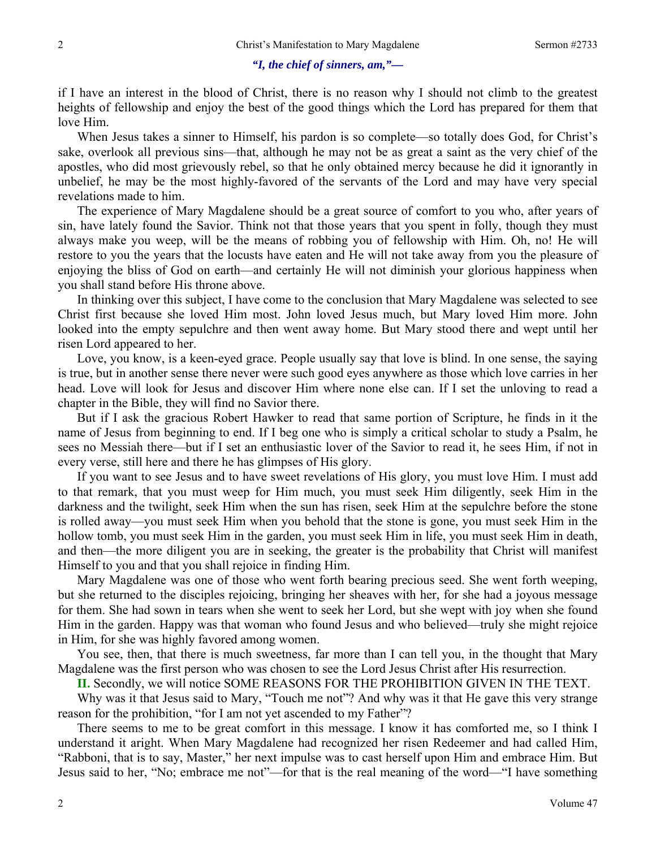### *"I, the chief of sinners, am,"—*

if I have an interest in the blood of Christ, there is no reason why I should not climb to the greatest heights of fellowship and enjoy the best of the good things which the Lord has prepared for them that love Him.

 When Jesus takes a sinner to Himself, his pardon is so complete—so totally does God, for Christ's sake, overlook all previous sins—that, although he may not be as great a saint as the very chief of the apostles, who did most grievously rebel, so that he only obtained mercy because he did it ignorantly in unbelief, he may be the most highly-favored of the servants of the Lord and may have very special revelations made to him.

 The experience of Mary Magdalene should be a great source of comfort to you who, after years of sin, have lately found the Savior. Think not that those years that you spent in folly, though they must always make you weep, will be the means of robbing you of fellowship with Him. Oh, no! He will restore to you the years that the locusts have eaten and He will not take away from you the pleasure of enjoying the bliss of God on earth—and certainly He will not diminish your glorious happiness when you shall stand before His throne above.

 In thinking over this subject, I have come to the conclusion that Mary Magdalene was selected to see Christ first because she loved Him most. John loved Jesus much, but Mary loved Him more. John looked into the empty sepulchre and then went away home. But Mary stood there and wept until her risen Lord appeared to her.

 Love, you know, is a keen-eyed grace. People usually say that love is blind. In one sense, the saying is true, but in another sense there never were such good eyes anywhere as those which love carries in her head. Love will look for Jesus and discover Him where none else can. If I set the unloving to read a chapter in the Bible, they will find no Savior there.

 But if I ask the gracious Robert Hawker to read that same portion of Scripture, he finds in it the name of Jesus from beginning to end. If I beg one who is simply a critical scholar to study a Psalm, he sees no Messiah there—but if I set an enthusiastic lover of the Savior to read it, he sees Him, if not in every verse, still here and there he has glimpses of His glory.

 If you want to see Jesus and to have sweet revelations of His glory, you must love Him. I must add to that remark, that you must weep for Him much, you must seek Him diligently, seek Him in the darkness and the twilight, seek Him when the sun has risen, seek Him at the sepulchre before the stone is rolled away—you must seek Him when you behold that the stone is gone, you must seek Him in the hollow tomb, you must seek Him in the garden, you must seek Him in life, you must seek Him in death, and then—the more diligent you are in seeking, the greater is the probability that Christ will manifest Himself to you and that you shall rejoice in finding Him.

 Mary Magdalene was one of those who went forth bearing precious seed. She went forth weeping, but she returned to the disciples rejoicing, bringing her sheaves with her, for she had a joyous message for them. She had sown in tears when she went to seek her Lord, but she wept with joy when she found Him in the garden. Happy was that woman who found Jesus and who believed—truly she might rejoice in Him, for she was highly favored among women.

 You see, then, that there is much sweetness, far more than I can tell you, in the thought that Mary Magdalene was the first person who was chosen to see the Lord Jesus Christ after His resurrection.

**II.** Secondly, we will notice SOME REASONS FOR THE PROHIBITION GIVEN IN THE TEXT.

 Why was it that Jesus said to Mary, "Touch me not"? And why was it that He gave this very strange reason for the prohibition, "for I am not yet ascended to my Father"?

 There seems to me to be great comfort in this message. I know it has comforted me, so I think I understand it aright. When Mary Magdalene had recognized her risen Redeemer and had called Him, "Rabboni, that is to say, Master," her next impulse was to cast herself upon Him and embrace Him. But Jesus said to her, "No; embrace me not"—for that is the real meaning of the word—"I have something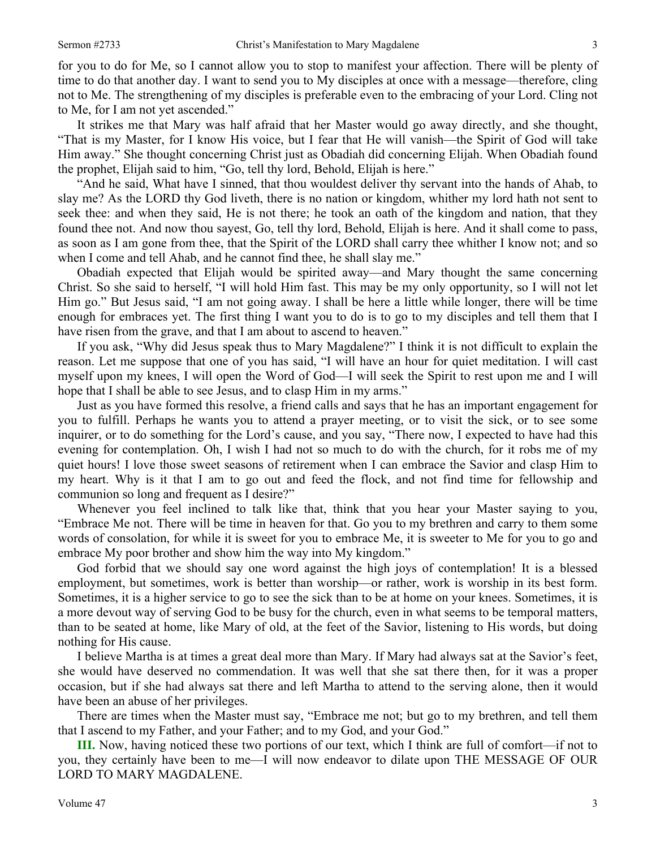for you to do for Me, so I cannot allow you to stop to manifest your affection. There will be plenty of time to do that another day. I want to send you to My disciples at once with a message—therefore, cling not to Me. The strengthening of my disciples is preferable even to the embracing of your Lord. Cling not to Me, for I am not yet ascended."

 It strikes me that Mary was half afraid that her Master would go away directly, and she thought, "That is my Master, for I know His voice, but I fear that He will vanish—the Spirit of God will take Him away." She thought concerning Christ just as Obadiah did concerning Elijah. When Obadiah found the prophet, Elijah said to him, "Go, tell thy lord, Behold, Elijah is here."

 "And he said, What have I sinned, that thou wouldest deliver thy servant into the hands of Ahab, to slay me? As the LORD thy God liveth, there is no nation or kingdom, whither my lord hath not sent to seek thee: and when they said, He is not there; he took an oath of the kingdom and nation, that they found thee not. And now thou sayest, Go, tell thy lord, Behold, Elijah is here. And it shall come to pass, as soon as I am gone from thee, that the Spirit of the LORD shall carry thee whither I know not; and so when I come and tell Ahab, and he cannot find thee, he shall slay me."

 Obadiah expected that Elijah would be spirited away—and Mary thought the same concerning Christ. So she said to herself, "I will hold Him fast. This may be my only opportunity, so I will not let Him go." But Jesus said, "I am not going away. I shall be here a little while longer, there will be time enough for embraces yet. The first thing I want you to do is to go to my disciples and tell them that I have risen from the grave, and that I am about to ascend to heaven."

 If you ask, "Why did Jesus speak thus to Mary Magdalene?" I think it is not difficult to explain the reason. Let me suppose that one of you has said, "I will have an hour for quiet meditation. I will cast myself upon my knees, I will open the Word of God—I will seek the Spirit to rest upon me and I will hope that I shall be able to see Jesus, and to clasp Him in my arms."

 Just as you have formed this resolve, a friend calls and says that he has an important engagement for you to fulfill. Perhaps he wants you to attend a prayer meeting, or to visit the sick, or to see some inquirer, or to do something for the Lord's cause, and you say, "There now, I expected to have had this evening for contemplation. Oh, I wish I had not so much to do with the church, for it robs me of my quiet hours! I love those sweet seasons of retirement when I can embrace the Savior and clasp Him to my heart. Why is it that I am to go out and feed the flock, and not find time for fellowship and communion so long and frequent as I desire?"

 Whenever you feel inclined to talk like that, think that you hear your Master saying to you, "Embrace Me not. There will be time in heaven for that. Go you to my brethren and carry to them some words of consolation, for while it is sweet for you to embrace Me, it is sweeter to Me for you to go and embrace My poor brother and show him the way into My kingdom."

 God forbid that we should say one word against the high joys of contemplation! It is a blessed employment, but sometimes, work is better than worship—or rather, work is worship in its best form. Sometimes, it is a higher service to go to see the sick than to be at home on your knees. Sometimes, it is a more devout way of serving God to be busy for the church, even in what seems to be temporal matters, than to be seated at home, like Mary of old, at the feet of the Savior, listening to His words, but doing nothing for His cause.

 I believe Martha is at times a great deal more than Mary. If Mary had always sat at the Savior's feet, she would have deserved no commendation. It was well that she sat there then, for it was a proper occasion, but if she had always sat there and left Martha to attend to the serving alone, then it would have been an abuse of her privileges.

 There are times when the Master must say, "Embrace me not; but go to my brethren, and tell them that I ascend to my Father, and your Father; and to my God, and your God."

**III.** Now, having noticed these two portions of our text, which I think are full of comfort—if not to you, they certainly have been to me—I will now endeavor to dilate upon THE MESSAGE OF OUR LORD TO MARY MAGDALENE.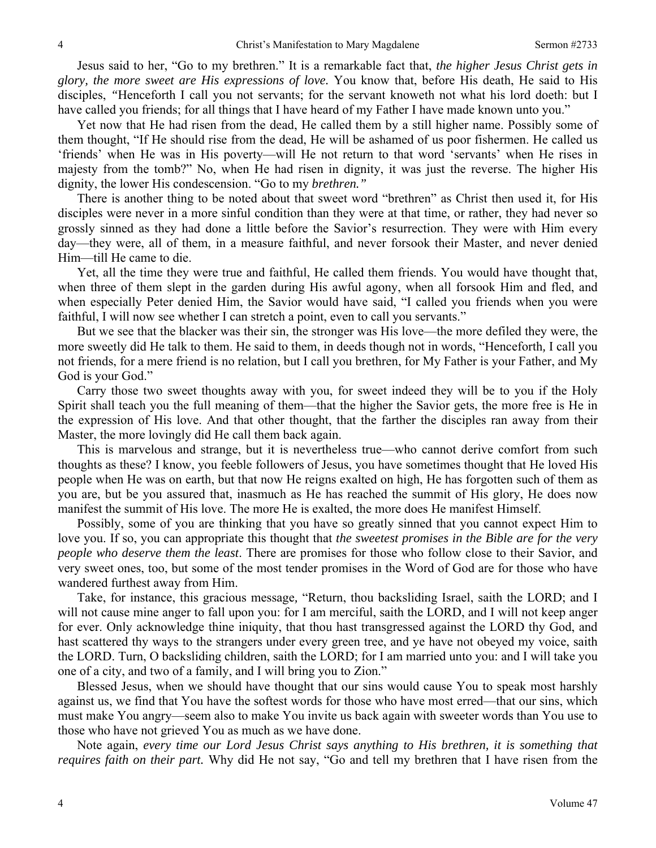Jesus said to her, "Go to my brethren." It is a remarkable fact that, *the higher Jesus Christ gets in glory, the more sweet are His expressions of love.* You know that, before His death, He said to His disciples, *"*Henceforth I call you not servants; for the servant knoweth not what his lord doeth: but I have called you friends; for all things that I have heard of my Father I have made known unto you."

 Yet now that He had risen from the dead, He called them by a still higher name. Possibly some of them thought, "If He should rise from the dead, He will be ashamed of us poor fishermen. He called us 'friends' when He was in His poverty—will He not return to that word 'servants' when He rises in majesty from the tomb?" No, when He had risen in dignity, it was just the reverse. The higher His dignity, the lower His condescension. "Go to my *brethren."* 

There is another thing to be noted about that sweet word "brethren" as Christ then used it, for His disciples were never in a more sinful condition than they were at that time, or rather, they had never so grossly sinned as they had done a little before the Savior's resurrection. They were with Him every day—they were, all of them, in a measure faithful, and never forsook their Master, and never denied Him—till He came to die.

 Yet, all the time they were true and faithful, He called them friends. You would have thought that, when three of them slept in the garden during His awful agony, when all forsook Him and fled, and when especially Peter denied Him, the Savior would have said, "I called you friends when you were faithful, I will now see whether I can stretch a point, even to call you servants."

 But we see that the blacker was their sin, the stronger was His love—the more defiled they were, the more sweetly did He talk to them. He said to them, in deeds though not in words, "Henceforth*,* I call you not friends, for a mere friend is no relation, but I call you brethren, for My Father is your Father, and My God is your God."

 Carry those two sweet thoughts away with you, for sweet indeed they will be to you if the Holy Spirit shall teach you the full meaning of them—that the higher the Savior gets, the more free is He in the expression of His love. And that other thought, that the farther the disciples ran away from their Master, the more lovingly did He call them back again.

 This is marvelous and strange, but it is nevertheless true—who cannot derive comfort from such thoughts as these? I know, you feeble followers of Jesus, you have sometimes thought that He loved His people when He was on earth, but that now He reigns exalted on high, He has forgotten such of them as you are, but be you assured that, inasmuch as He has reached the summit of His glory, He does now manifest the summit of His love. The more He is exalted, the more does He manifest Himself.

 Possibly, some of you are thinking that you have so greatly sinned that you cannot expect Him to love you. If so, you can appropriate this thought that *the sweetest promises in the Bible are for the very people who deserve them the least*. There are promises for those who follow close to their Savior, and very sweet ones, too, but some of the most tender promises in the Word of God are for those who have wandered furthest away from Him.

 Take, for instance, this gracious message*,* "Return, thou backsliding Israel, saith the LORD; and I will not cause mine anger to fall upon you: for I am merciful, saith the LORD, and I will not keep anger for ever. Only acknowledge thine iniquity, that thou hast transgressed against the LORD thy God, and hast scattered thy ways to the strangers under every green tree, and ye have not obeyed my voice, saith the LORD. Turn, O backsliding children, saith the LORD; for I am married unto you: and I will take you one of a city, and two of a family, and I will bring you to Zion."

 Blessed Jesus, when we should have thought that our sins would cause You to speak most harshly against us, we find that You have the softest words for those who have most erred—that our sins, which must make You angry—seem also to make You invite us back again with sweeter words than You use to those who have not grieved You as much as we have done.

 Note again, *every time our Lord Jesus Christ says anything to His brethren, it is something that requires faith on their part.* Why did He not say, "Go and tell my brethren that I have risen from the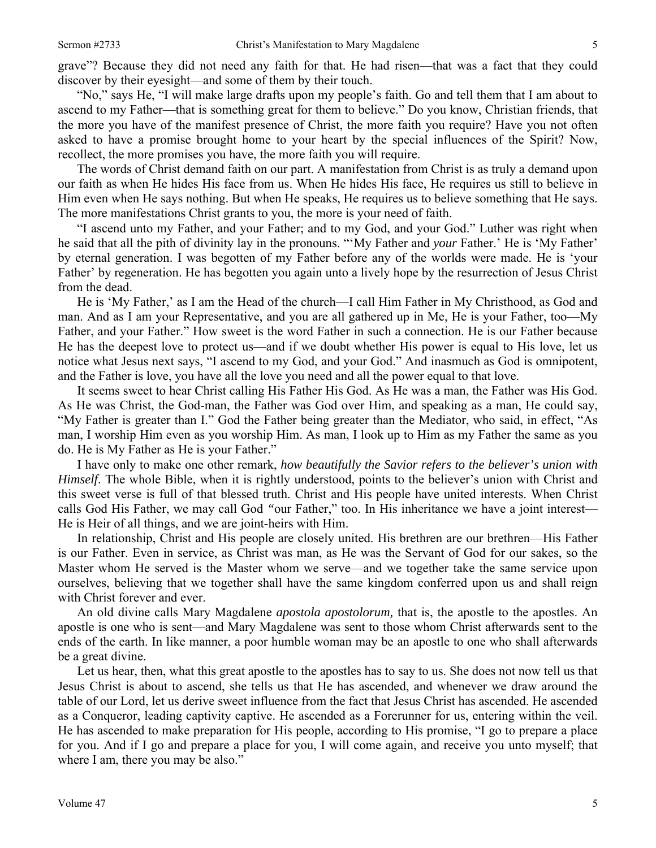"No," says He, "I will make large drafts upon my people's faith. Go and tell them that I am about to ascend to my Father—that is something great for them to believe." Do you know, Christian friends, that the more you have of the manifest presence of Christ, the more faith you require? Have you not often asked to have a promise brought home to your heart by the special influences of the Spirit? Now, recollect, the more promises you have, the more faith you will require.

 The words of Christ demand faith on our part. A manifestation from Christ is as truly a demand upon our faith as when He hides His face from us. When He hides His face, He requires us still to believe in Him even when He says nothing. But when He speaks, He requires us to believe something that He says. The more manifestations Christ grants to you, the more is your need of faith.

 "I ascend unto my Father, and your Father; and to my God, and your God." Luther was right when he said that all the pith of divinity lay in the pronouns. "'My Father and *your* Father.' He is 'My Father' by eternal generation. I was begotten of my Father before any of the worlds were made. He is 'your Father' by regeneration. He has begotten you again unto a lively hope by the resurrection of Jesus Christ from the dead.

 He is 'My Father,' as I am the Head of the church—I call Him Father in My Christhood, as God and man. And as I am your Representative, and you are all gathered up in Me, He is your Father, too—My Father, and your Father." How sweet is the word Father in such a connection. He is our Father because He has the deepest love to protect us—and if we doubt whether His power is equal to His love, let us notice what Jesus next says, "I ascend to my God, and your God." And inasmuch as God is omnipotent, and the Father is love, you have all the love you need and all the power equal to that love.

 It seems sweet to hear Christ calling His Father His God. As He was a man, the Father was His God. As He was Christ, the God-man, the Father was God over Him, and speaking as a man, He could say, "My Father is greater than I." God the Father being greater than the Mediator, who said, in effect, "As man, I worship Him even as you worship Him. As man, I look up to Him as my Father the same as you do. He is My Father as He is your Father."

 I have only to make one other remark, *how beautifully the Savior refers to the believer's union with Himself*. The whole Bible, when it is rightly understood, points to the believer's union with Christ and this sweet verse is full of that blessed truth. Christ and His people have united interests. When Christ calls God His Father, we may call God *"*our Father," too. In His inheritance we have a joint interest— He is Heir of all things, and we are joint-heirs with Him.

 In relationship, Christ and His people are closely united. His brethren are our brethren—His Father is our Father. Even in service, as Christ was man, as He was the Servant of God for our sakes, so the Master whom He served is the Master whom we serve—and we together take the same service upon ourselves, believing that we together shall have the same kingdom conferred upon us and shall reign with Christ forever and ever.

 An old divine calls Mary Magdalene *apostola apostolorum,* that is, the apostle to the apostles. An apostle is one who is sent—and Mary Magdalene was sent to those whom Christ afterwards sent to the ends of the earth. In like manner, a poor humble woman may be an apostle to one who shall afterwards be a great divine.

 Let us hear, then, what this great apostle to the apostles has to say to us. She does not now tell us that Jesus Christ is about to ascend, she tells us that He has ascended, and whenever we draw around the table of our Lord, let us derive sweet influence from the fact that Jesus Christ has ascended. He ascended as a Conqueror, leading captivity captive. He ascended as a Forerunner for us, entering within the veil. He has ascended to make preparation for His people, according to His promise, "I go to prepare a place for you. And if I go and prepare a place for you, I will come again, and receive you unto myself; that where I am, there you may be also."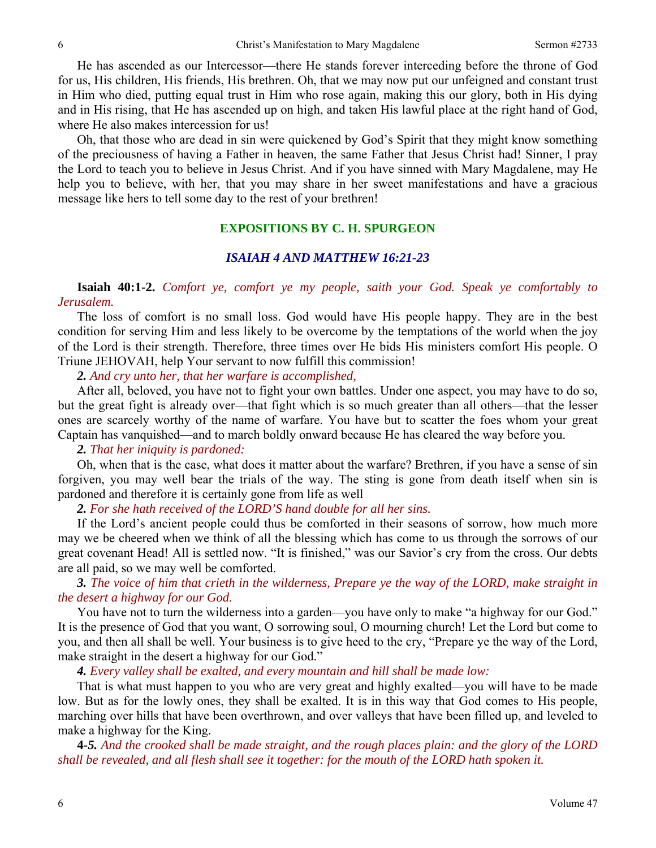He has ascended as our Intercessor—there He stands forever interceding before the throne of God for us, His children, His friends, His brethren. Oh, that we may now put our unfeigned and constant trust in Him who died, putting equal trust in Him who rose again, making this our glory, both in His dying and in His rising, that He has ascended up on high, and taken His lawful place at the right hand of God, where He also makes intercession for us!

 Oh, that those who are dead in sin were quickened by God's Spirit that they might know something of the preciousness of having a Father in heaven, the same Father that Jesus Christ had! Sinner, I pray the Lord to teach you to believe in Jesus Christ. And if you have sinned with Mary Magdalene, may He help you to believe, with her, that you may share in her sweet manifestations and have a gracious message like hers to tell some day to the rest of your brethren!

### **EXPOSITIONS BY C. H. SPURGEON**

#### *ISAIAH 4 AND MATTHEW 16:21-23*

**Isaiah 40:1-2.** *Comfort ye, comfort ye my people, saith your God. Speak ye comfortably to Jerusalem.* 

The loss of comfort is no small loss. God would have His people happy. They are in the best condition for serving Him and less likely to be overcome by the temptations of the world when the joy of the Lord is their strength. Therefore, three times over He bids His ministers comfort His people. O Triune JEHOVAH, help Your servant to now fulfill this commission!

*2. And cry unto her, that her warfare is accomplished,* 

After all, beloved, you have not to fight your own battles. Under one aspect, you may have to do so, but the great fight is already over—that fight which is so much greater than all others—that the lesser ones are scarcely worthy of the name of warfare. You have but to scatter the foes whom your great Captain has vanquished—and to march boldly onward because He has cleared the way before you.

#### *2. That her iniquity is pardoned:*

Oh, when that is the case, what does it matter about the warfare? Brethren, if you have a sense of sin forgiven, you may well bear the trials of the way. The sting is gone from death itself when sin is pardoned and therefore it is certainly gone from life as well

*2. For she hath received of the LORD'S hand double for all her sins.* 

If the Lord's ancient people could thus be comforted in their seasons of sorrow, how much more may we be cheered when we think of all the blessing which has come to us through the sorrows of our great covenant Head! All is settled now. "It is finished," was our Savior's cry from the cross. Our debts are all paid, so we may well be comforted.

### *3. The voice of him that crieth in the wilderness, Prepare ye the way of the LORD, make straight in the desert a highway for our God.*

You have not to turn the wilderness into a garden—you have only to make "a highway for our God." It is the presence of God that you want, O sorrowing soul, O mourning church! Let the Lord but come to you, and then all shall be well. Your business is to give heed to the cry, "Prepare ye the way of the Lord, make straight in the desert a highway for our God."

*4. Every valley shall be exalted, and every mountain and hill shall be made low:*

 That is what must happen to you who are very great and highly exalted—you will have to be made low. But as for the lowly ones, they shall be exalted. It is in this way that God comes to His people, marching over hills that have been overthrown, and over valleys that have been filled up, and leveled to make a highway for the King.

**4-***5. And the crooked shall be made straight, and the rough places plain: and the glory of the LORD shall be revealed, and all flesh shall see it together: for the mouth of the LORD hath spoken it.*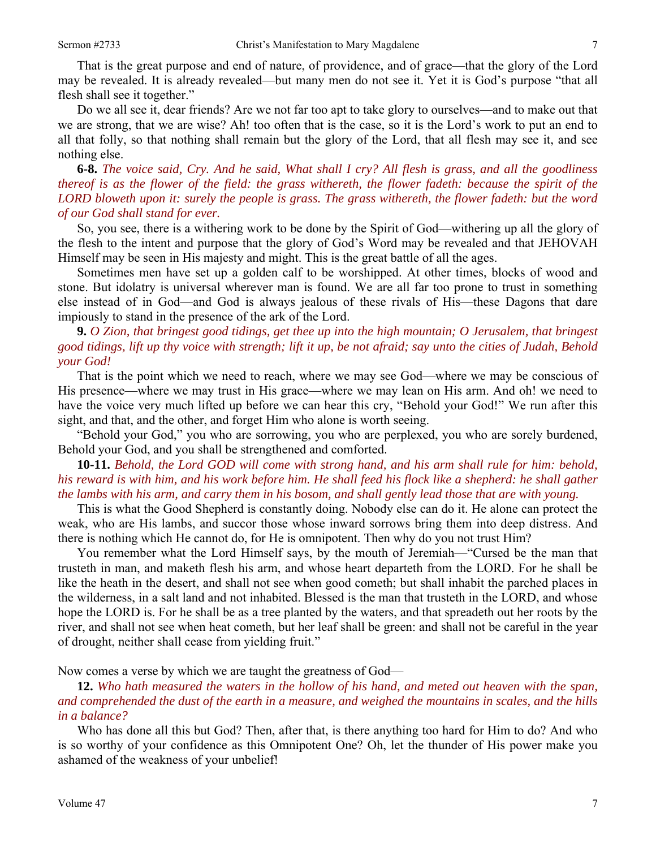That is the great purpose and end of nature, of providence, and of grace—that the glory of the Lord may be revealed. It is already revealed—but many men do not see it. Yet it is God's purpose "that all flesh shall see it together."

 Do we all see it, dear friends? Are we not far too apt to take glory to ourselves—and to make out that we are strong, that we are wise? Ah! too often that is the case, so it is the Lord's work to put an end to all that folly, so that nothing shall remain but the glory of the Lord, that all flesh may see it, and see nothing else.

**6-8.** *The voice said, Cry. And he said, What shall I cry? All flesh is grass, and all the goodliness thereof is as the flower of the field: the grass withereth, the flower fadeth: because the spirit of the LORD bloweth upon it: surely the people is grass. The grass withereth, the flower fadeth: but the word of our God shall stand for ever.* 

So, you see, there is a withering work to be done by the Spirit of God—withering up all the glory of the flesh to the intent and purpose that the glory of God's Word may be revealed and that JEHOVAH Himself may be seen in His majesty and might. This is the great battle of all the ages.

 Sometimes men have set up a golden calf to be worshipped. At other times, blocks of wood and stone. But idolatry is universal wherever man is found. We are all far too prone to trust in something else instead of in God—and God is always jealous of these rivals of His—these Dagons that dare impiously to stand in the presence of the ark of the Lord.

# **9.** *O Zion, that bringest good tidings, get thee up into the high mountain; O Jerusalem, that bringest good tidings, lift up thy voice with strength; lift it up, be not afraid; say unto the cities of Judah, Behold your God!*

That is the point which we need to reach, where we may see God—where we may be conscious of His presence—where we may trust in His grace—where we may lean on His arm. And oh! we need to have the voice very much lifted up before we can hear this cry, "Behold your God!" We run after this sight, and that, and the other, and forget Him who alone is worth seeing.

 "Behold your God," you who are sorrowing, you who are perplexed, you who are sorely burdened, Behold your God, and you shall be strengthened and comforted.

# **10-11.** *Behold, the Lord GOD will come with strong hand, and his arm shall rule for him: behold, his reward is with him, and his work before him. He shall feed his flock like a shepherd: he shall gather the lambs with his arm, and carry them in his bosom, and shall gently lead those that are with young.*

This is what the Good Shepherd is constantly doing. Nobody else can do it. He alone can protect the weak, who are His lambs, and succor those whose inward sorrows bring them into deep distress. And there is nothing which He cannot do, for He is omnipotent. Then why do you not trust Him?

 You remember what the Lord Himself says, by the mouth of Jeremiah—"Cursed be the man that trusteth in man, and maketh flesh his arm, and whose heart departeth from the LORD. For he shall be like the heath in the desert, and shall not see when good cometh; but shall inhabit the parched places in the wilderness, in a salt land and not inhabited. Blessed is the man that trusteth in the LORD, and whose hope the LORD is. For he shall be as a tree planted by the waters, and that spreadeth out her roots by the river, and shall not see when heat cometh, but her leaf shall be green: and shall not be careful in the year of drought, neither shall cease from yielding fruit."

Now comes a verse by which we are taught the greatness of God—

### **12.** *Who hath measured the waters in the hollow of his hand, and meted out heaven with the span, and comprehended the dust of the earth in a measure, and weighed the mountains in scales, and the hills in a balance?*

Who has done all this but God? Then, after that, is there anything too hard for Him to do? And who is so worthy of your confidence as this Omnipotent One? Oh, let the thunder of His power make you ashamed of the weakness of your unbelief!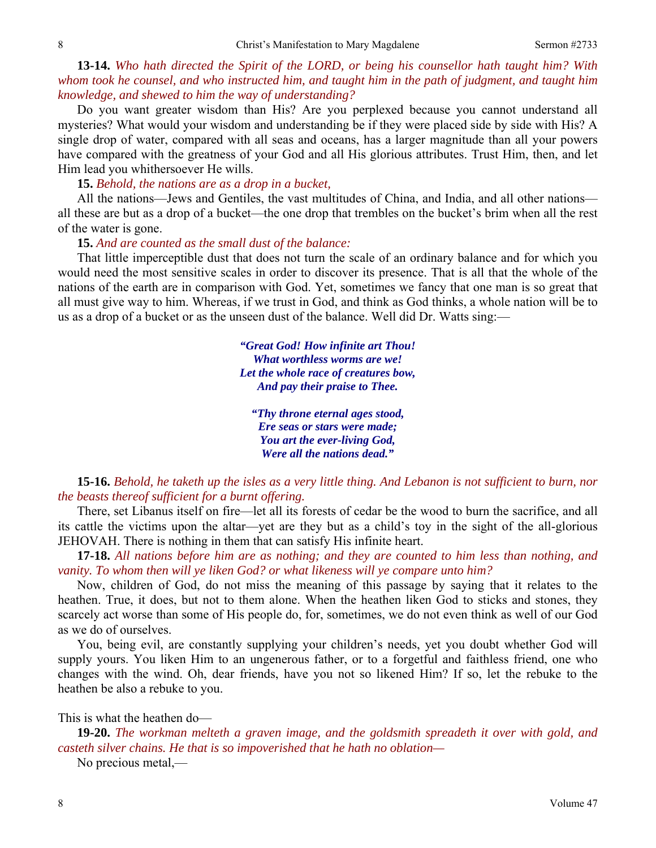**13-14.** *Who hath directed the Spirit of the LORD, or being his counsellor hath taught him? With whom took he counsel, and who instructed him, and taught him in the path of judgment, and taught him knowledge, and shewed to him the way of understanding?* 

Do you want greater wisdom than His? Are you perplexed because you cannot understand all mysteries? What would your wisdom and understanding be if they were placed side by side with His? A single drop of water, compared with all seas and oceans, has a larger magnitude than all your powers have compared with the greatness of your God and all His glorious attributes. Trust Him, then, and let Him lead you whithersoever He wills.

**15.** *Behold, the nations are as a drop in a bucket,* 

All the nations—Jews and Gentiles, the vast multitudes of China, and India, and all other nations all these are but as a drop of a bucket—the one drop that trembles on the bucket's brim when all the rest of the water is gone.

**15.** *And are counted as the small dust of the balance:* 

That little imperceptible dust that does not turn the scale of an ordinary balance and for which you would need the most sensitive scales in order to discover its presence. That is all that the whole of the nations of the earth are in comparison with God. Yet, sometimes we fancy that one man is so great that all must give way to him. Whereas, if we trust in God, and think as God thinks, a whole nation will be to us as a drop of a bucket or as the unseen dust of the balance. Well did Dr. Watts sing:—

> *"Great God! How infinite art Thou! What worthless worms are we! Let the whole race of creatures bow, And pay their praise to Thee.*

*"Thy throne eternal ages stood, Ere seas or stars were made; You art the ever-living God, Were all the nations dead."* 

**15-16.** *Behold, he taketh up the isles as a very little thing. And Lebanon is not sufficient to burn, nor the beasts thereof sufficient for a burnt offering.* 

 There, set Libanus itself on fire—let all its forests of cedar be the wood to burn the sacrifice, and all its cattle the victims upon the altar—yet are they but as a child's toy in the sight of the all-glorious JEHOVAH. There is nothing in them that can satisfy His infinite heart.

**17-18.** *All nations before him are as nothing; and they are counted to him less than nothing, and vanity. To whom then will ye liken God? or what likeness will ye compare unto him?* 

Now, children of God, do not miss the meaning of this passage by saying that it relates to the heathen. True, it does, but not to them alone. When the heathen liken God to sticks and stones, they scarcely act worse than some of His people do, for, sometimes, we do not even think as well of our God as we do of ourselves.

 You, being evil, are constantly supplying your children's needs, yet you doubt whether God will supply yours. You liken Him to an ungenerous father, or to a forgetful and faithless friend, one who changes with the wind. Oh, dear friends, have you not so likened Him? If so, let the rebuke to the heathen be also a rebuke to you.

This is what the heathen do—

**19-20.** *The workman melteth a graven image, and the goldsmith spreadeth it over with gold, and casteth silver chains. He that is so impoverished that he hath no oblation—* 

No precious metal,—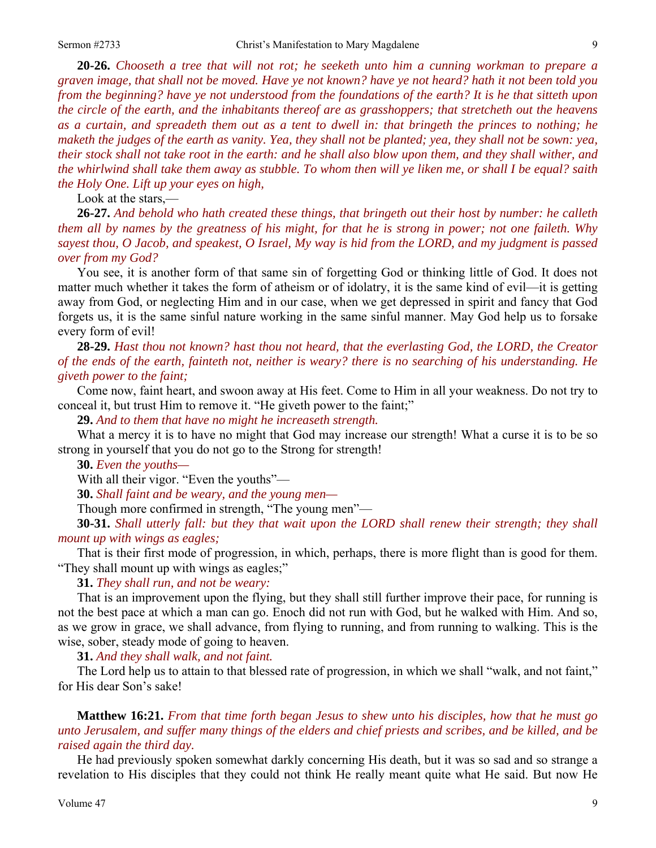**20-26.** *Chooseth a tree that will not rot; he seeketh unto him a cunning workman to prepare a graven image, that shall not be moved. Have ye not known? have ye not heard? hath it not been told you from the beginning? have ye not understood from the foundations of the earth? It is he that sitteth upon the circle of the earth, and the inhabitants thereof are as grasshoppers; that stretcheth out the heavens as a curtain, and spreadeth them out as a tent to dwell in: that bringeth the princes to nothing; he maketh the judges of the earth as vanity. Yea, they shall not be planted; yea, they shall not be sown: yea, their stock shall not take root in the earth: and he shall also blow upon them, and they shall wither, and the whirlwind shall take them away as stubble. To whom then will ye liken me, or shall I be equal? saith the Holy One. Lift up your eyes on high,* 

Look at the stars,—

**26-27.** *And behold who hath created these things, that bringeth out their host by number: he calleth them all by names by the greatness of his might, for that he is strong in power; not one faileth. Why sayest thou, O Jacob, and speakest, O Israel, My way is hid from the LORD, and my judgment is passed over from my God?* 

You see, it is another form of that same sin of forgetting God or thinking little of God. It does not matter much whether it takes the form of atheism or of idolatry, it is the same kind of evil—it is getting away from God, or neglecting Him and in our case, when we get depressed in spirit and fancy that God forgets us, it is the same sinful nature working in the same sinful manner. May God help us to forsake every form of evil!

**28-29.** *Hast thou not known? hast thou not heard, that the everlasting God, the LORD, the Creator of the ends of the earth, fainteth not, neither is weary? there is no searching of his understanding. He giveth power to the faint;* 

Come now, faint heart, and swoon away at His feet. Come to Him in all your weakness. Do not try to conceal it, but trust Him to remove it. "He giveth power to the faint;"

**29.** *And to them that have no might he increaseth strength.* 

What a mercy it is to have no might that God may increase our strength! What a curse it is to be so strong in yourself that you do not go to the Strong for strength!

**30.** *Even the youths—* 

With all their vigor. "Even the youths"—

**30.** *Shall faint and be weary, and the young men—* 

Though more confirmed in strength, "The young men"—

**30-31.** *Shall utterly fall: but they that wait upon the LORD shall renew their strength; they shall mount up with wings as eagles;* 

That is their first mode of progression, in which, perhaps, there is more flight than is good for them. "They shall mount up with wings as eagles;"

**31.** *They shall run, and not be weary:* 

That is an improvement upon the flying, but they shall still further improve their pace, for running is not the best pace at which a man can go. Enoch did not run with God, but he walked with Him. And so, as we grow in grace, we shall advance, from flying to running, and from running to walking. This is the wise, sober, steady mode of going to heaven.

**31.** *And they shall walk, and not faint.* 

The Lord help us to attain to that blessed rate of progression, in which we shall "walk, and not faint," for His dear Son's sake!

**Matthew 16:21.** *From that time forth began Jesus to shew unto his disciples, how that he must go unto Jerusalem, and suffer many things of the elders and chief priests and scribes, and be killed, and be raised again the third day.* 

He had previously spoken somewhat darkly concerning His death, but it was so sad and so strange a revelation to His disciples that they could not think He really meant quite what He said. But now He